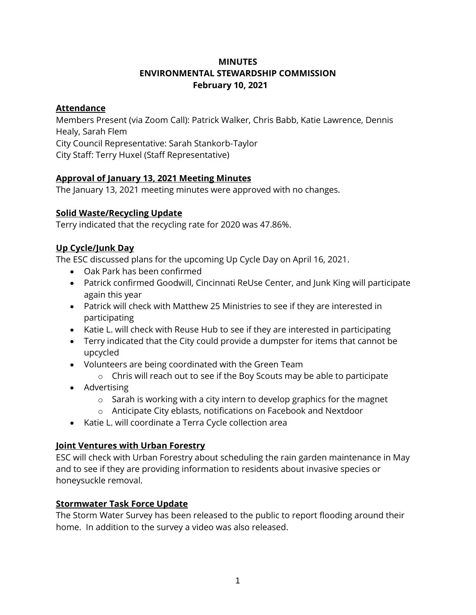# **MINUTES ENVIRONMENTAL STEWARDSHIP COMMISSION February 10, 2021**

## **Attendance**

Members Present (via Zoom Call): Patrick Walker, Chris Babb, Katie Lawrence, Dennis Healy, Sarah Flem City Council Representative: Sarah Stankorb-Taylor City Staff: Terry Huxel (Staff Representative)

## **Approval of January 13, 2021 Meeting Minutes**

The January 13, 2021 meeting minutes were approved with no changes.

### **Solid Waste/Recycling Update**

Terry indicated that the recycling rate for 2020 was 47.86%.

### **Up Cycle/Junk Day**

The ESC discussed plans for the upcoming Up Cycle Day on April 16, 2021.

- Oak Park has been confirmed
- Patrick confirmed Goodwill, Cincinnati ReUse Center, and Junk King will participate again this year
- Patrick will check with Matthew 25 Ministries to see if they are interested in participating
- Katie L. will check with Reuse Hub to see if they are interested in participating
- Terry indicated that the City could provide a dumpster for items that cannot be upcycled
- Volunteers are being coordinated with the Green Team
	- o Chris will reach out to see if the Boy Scouts may be able to participate
- Advertising
	- $\circ$  Sarah is working with a city intern to develop graphics for the magnet
	- o Anticipate City eblasts, notifications on Facebook and Nextdoor
- Katie L. will coordinate a Terra Cycle collection area

#### **Joint Ventures with Urban Forestry**

ESC will check with Urban Forestry about scheduling the rain garden maintenance in May and to see if they are providing information to residents about invasive species or honeysuckle removal.

#### **Stormwater Task Force Update**

The Storm Water Survey has been released to the public to report flooding around their home. In addition to the survey a video was also released.